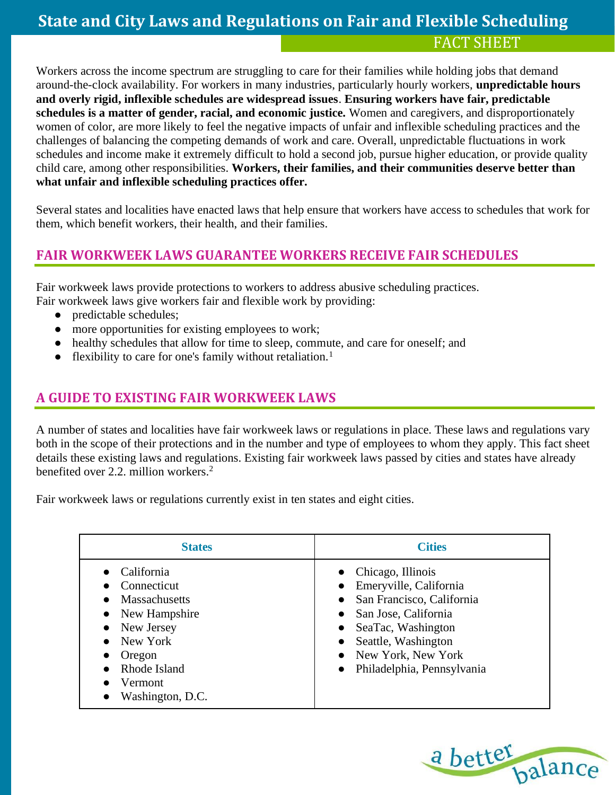Workers across the income spectrum are struggling to care for their families while holding jobs that demand around-the-clock availability. For workers in many industries, particularly hourly workers, **unpredictable hours and overly rigid, inflexible schedules are widespread issues**. **Ensuring workers have fair, predictable schedules is a matter of gender, racial, and economic justice.** Women and caregivers, and disproportionately women of color, are more likely to feel the negative impacts of unfair and inflexible scheduling practices and the challenges of balancing the competing demands of work and care. Overall, unpredictable fluctuations in work schedules and income make it extremely difficult to hold a second job, pursue higher education, or provide quality child care, among other responsibilities. **Workers, their families, and their communities deserve better than what unfair and inflexible scheduling practices offer.**

Several states and localities have enacted laws that help ensure that workers have access to schedules that work for them, which benefit workers, their health, and their families.

### **FAIR WORKWEEK LAWS GUARANTEE WORKERS RECEIVE FAIR SCHEDULES**

Fair workweek laws provide protections to workers to address abusive scheduling practices. Fair workweek laws give workers fair and flexible work by providing:

- predictable schedules;
- more opportunities for existing employees to work;
- healthy schedules that allow for time to sleep, commute, and care for oneself; and
- flexibility to care for one's family without retaliation.<sup>1</sup>

### **A GUIDE TO EXISTING FAIR WORKWEEK LAWS**

A number of states and localities have fair workweek laws or regulations in place. These laws and regulations vary both in the scope of their protections and in the number and type of employees to whom they apply. This fact sheet details these existing laws and regulations. Existing fair workweek laws passed by cities and states have already benefited over 2.2. million workers.<sup>2</sup>

Fair workweek laws or regulations currently exist in ten states and eight cities.

| <b>States</b>                                                                                                                                               | <b>Cities</b>                                                                                                                                                                                         |
|-------------------------------------------------------------------------------------------------------------------------------------------------------------|-------------------------------------------------------------------------------------------------------------------------------------------------------------------------------------------------------|
| California<br>Connecticut<br><b>Massachusetts</b><br>• New Hampshire<br>• New Jersey<br>• New York<br>Oregon<br>Rhode Island<br>Vermont<br>Washington, D.C. | Chicago, Illinois<br>Emeryville, California<br>San Francisco, California<br>San Jose, California<br>SeaTac, Washington<br>Seattle, Washington<br>• New York, New York<br>• Philadelphia, Pennsylvania |

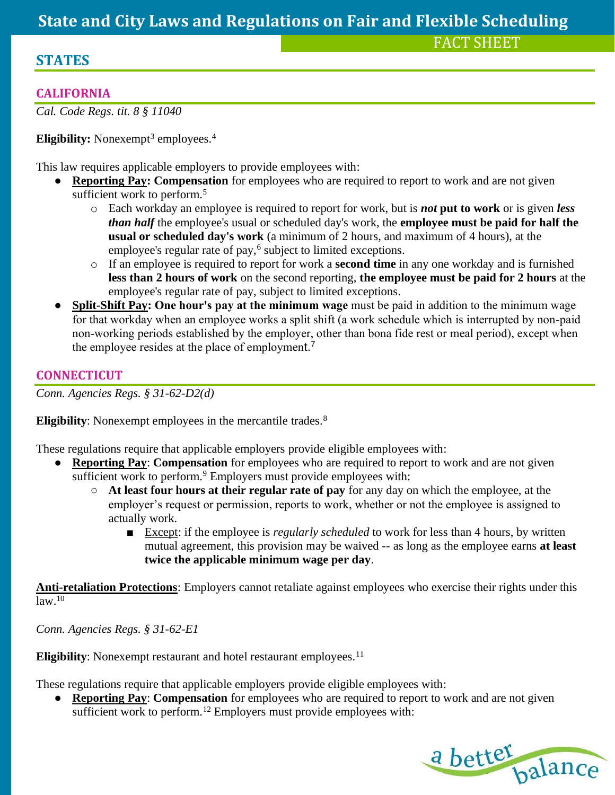### **STATES**

FACT SHEET

### **CALIFORNIA**

*Cal. Code Regs. tit. 8 § 11040*

**Eligibility:** Nonexempt<sup>3</sup> employees.<sup>4</sup>

This law requires applicable employers to provide employees with:

- **Reporting Pay: Compensation** for employees who are required to report to work and are not given sufficient work to perform.<sup>5</sup>
	- o Each workday an employee is required to report for work, but is *not* **put to work** or is given *less than half* the employee's usual or scheduled day's work, the **employee must be paid for half the usual or scheduled day's work** (a minimum of 2 hours, and maximum of 4 hours), at the employee's regular rate of pay,<sup>6</sup> subject to limited exceptions.
	- o If an employee is required to report for work a **second time** in any one workday and is furnished **less than 2 hours of work** on the second reporting, **the employee must be paid for 2 hours** at the employee's regular rate of pay, subject to limited exceptions.
- **Split-Shift Pay: One hour's pay at the minimum wage** must be paid in addition to the minimum wage for that workday when an employee works a split shift (a work schedule which is interrupted by non-paid non-working periods established by the employer, other than bona fide rest or meal period), except when the employee resides at the place of employment.<sup>7</sup>

### **CONNECTICUT**

*Conn. Agencies Regs. § 31-62-D2(d)*

**Eligibility**: Nonexempt employees in the mercantile trades.<sup>8</sup>

These regulations require that applicable employers provide eligible employees with:

- **Reporting Pay**: **Compensation** for employees who are required to report to work and are not given sufficient work to perform.<sup>9</sup> Employers must provide employees with:
	- **At least four hours at their regular rate of pay** for any day on which the employee, at the employer's request or permission, reports to work, whether or not the employee is assigned to actually work.
		- Except: if the employee is *regularly scheduled* to work for less than 4 hours, by written mutual agreement, this provision may be waived -- as long as the employee earns **at least twice the applicable minimum wage per day**.

**Anti-retaliation Protections**: Employers cannot retaliate against employees who exercise their rights under this  $law<sup>10</sup>$ 

*Conn. Agencies Regs. § 31-62-E1*

**Eligibility**: Nonexempt restaurant and hotel restaurant employees.<sup>11</sup>

These regulations require that applicable employers provide eligible employees with:

● **Reporting Pay**: **Compensation** for employees who are required to report to work and are not given sufficient work to perform.<sup>12</sup> Employers must provide employees with:

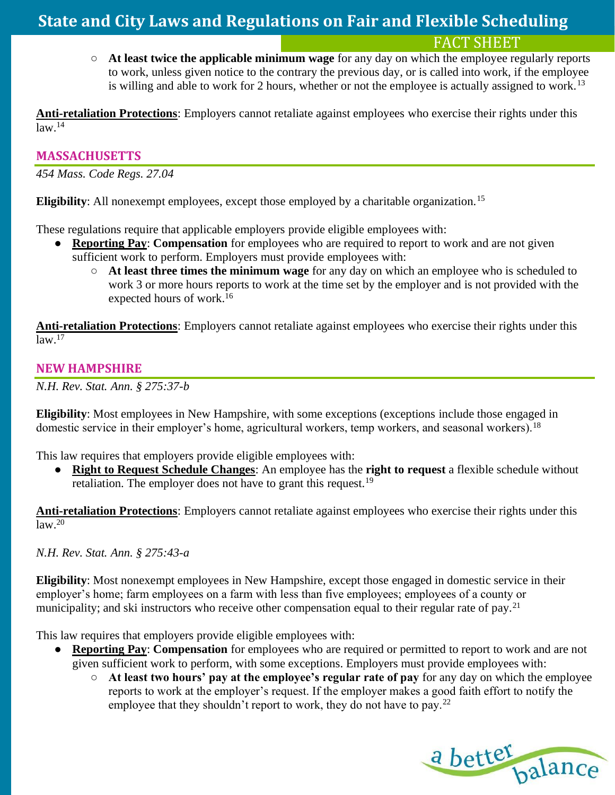FACT SHEET

○ **At least twice the applicable minimum wage** for any day on which the employee regularly reports to work, unless given notice to the contrary the previous day, or is called into work, if the employee is willing and able to work for 2 hours, whether or not the employee is actually assigned to work.<sup>13</sup>

**Anti-retaliation Protections**: Employers cannot retaliate against employees who exercise their rights under this  $law.<sup>14</sup>$ 

### **MASSACHUSETTS**

*454 Mass. Code Regs. 27.04*

**Eligibility**: All nonexempt employees, except those employed by a charitable organization.<sup>15</sup>

These regulations require that applicable employers provide eligible employees with:

- **Reporting Pay: Compensation** for employees who are required to report to work and are not given sufficient work to perform. Employers must provide employees with:
	- **At least three times the minimum wage** for any day on which an employee who is scheduled to work 3 or more hours reports to work at the time set by the employer and is not provided with the expected hours of work.<sup>16</sup>

**Anti-retaliation Protections**: Employers cannot retaliate against employees who exercise their rights under this  $\sqrt{law}$ <sup>17</sup>

### **NEW HAMPSHIRE**

*N.H. Rev. Stat. Ann. § 275:37-b* 

**Eligibility**: Most employees in New Hampshire, with some exceptions (exceptions include those engaged in domestic service in their employer's home, agricultural workers, temp workers, and seasonal workers).<sup>18</sup>

This law requires that employers provide eligible employees with:

● **Right to Request Schedule Changes**: An employee has the **right to request** a flexible schedule without retaliation. The employer does not have to grant this request.<sup>19</sup>

**Anti-retaliation Protections**: Employers cannot retaliate against employees who exercise their rights under this  $law.<sup>20</sup>$ 

*N.H. Rev. Stat. Ann. § 275:43-a*

**Eligibility**: Most nonexempt employees in New Hampshire, except those engaged in domestic service in their employer's home; farm employees on a farm with less than five employees; employees of a county or municipality; and ski instructors who receive other compensation equal to their regular rate of pay.<sup>21</sup>

This law requires that employers provide eligible employees with:

- **Reporting Pay: Compensation** for employees who are required or permitted to report to work and are not given sufficient work to perform, with some exceptions. Employers must provide employees with:
	- **At least two hours' pay at the employee's regular rate of pay** for any day on which the employee reports to work at the employer's request. If the employer makes a good faith effort to notify the employee that they shouldn't report to work, they do not have to pay.<sup>22</sup>

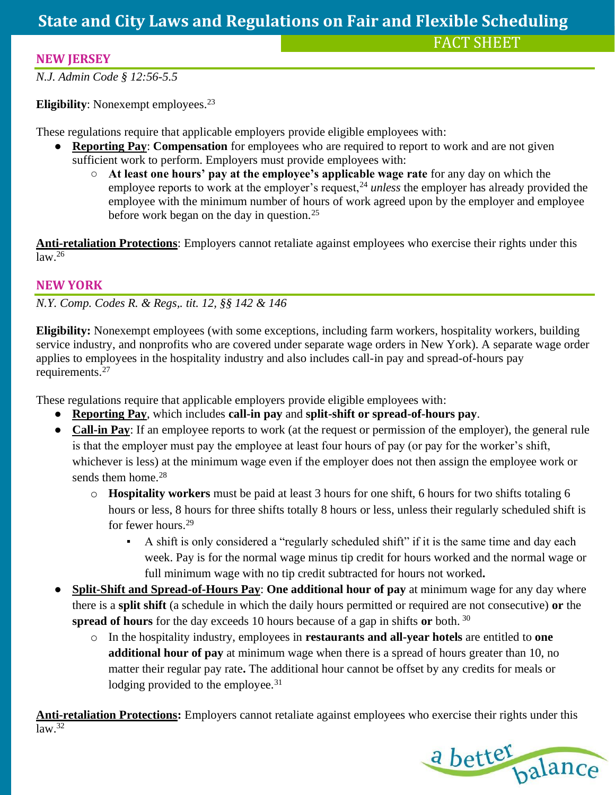### **NEW JERSEY**

*N.J. Admin Code § 12:56-5.5*

**Eligibility**: Nonexempt employees.<sup>23</sup>

These regulations require that applicable employers provide eligible employees with:

- **Reporting Pay: Compensation** for employees who are required to report to work and are not given sufficient work to perform. Employers must provide employees with:
	- **At least one hours' pay at the employee's applicable wage rate** for any day on which the employee reports to work at the employer's request,<sup>24</sup> *unless* the employer has already provided the employee with the minimum number of hours of work agreed upon by the employer and employee before work began on the day in question.<sup>25</sup>

**Anti-retaliation Protections**: Employers cannot retaliate against employees who exercise their rights under this  $law.<sup>26</sup>$ 

### **NEW YORK**

*N.Y. Comp. Codes R. & Regs,. tit. 12, §§ 142 & 146*

**Eligibility:** Nonexempt employees (with some exceptions, including farm workers, hospitality workers, building service industry, and nonprofits who are covered under separate wage orders in New York). A separate wage order applies to employees in the hospitality industry and also includes call-in pay and spread-of-hours pay requirements.<sup>27</sup>

These regulations require that applicable employers provide eligible employees with:

- **Reporting Pay**, which includes **call-in pay** and **split-shift or spread-of-hours pay**.
- **Call-in Pay**: If an employee reports to work (at the request or permission of the employer), the general rule is that the employer must pay the employee at least four hours of pay (or pay for the worker's shift, whichever is less) at the minimum wage even if the employer does not then assign the employee work or sends them home.<sup>28</sup>
	- o **Hospitality workers** must be paid at least 3 hours for one shift, 6 hours for two shifts totaling 6 hours or less, 8 hours for three shifts totally 8 hours or less, unless their regularly scheduled shift is for fewer hours.<sup>29</sup>
		- A shift is only considered a "regularly scheduled shift" if it is the same time and day each week. Pay is for the normal wage minus tip credit for hours worked and the normal wage or full minimum wage with no tip credit subtracted for hours not worked**.**
- **Split-Shift and Spread-of-Hours Pay: One additional hour of pay** at minimum wage for any day where there is a **split shift** (a schedule in which the daily hours permitted or required are not consecutive) **or** the **spread of hours** for the day exceeds 10 hours because of a gap in shifts **or** both. <sup>30</sup>
	- o In the hospitality industry, employees in **restaurants and all-year hotels** are entitled to **one additional hour of pay** at minimum wage when there is a spread of hours greater than 10, no matter their regular pay rate**.** The additional hour cannot be offset by any credits for meals or lodging provided to the employee.<sup>31</sup>

**Anti-retaliation Protections:** Employers cannot retaliate against employees who exercise their rights under this  $law<sup>32</sup>$ 

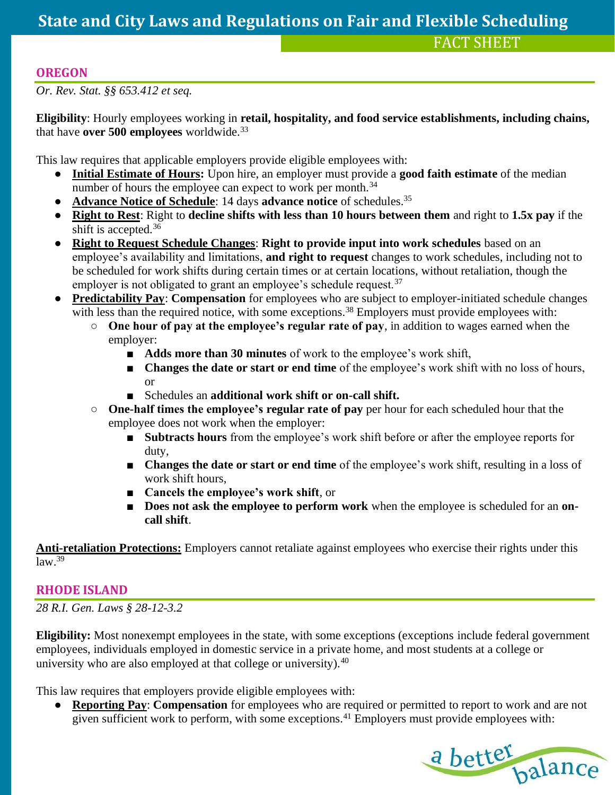### **OREGON**

*Or. Rev. Stat. §§ 653.412 et seq.*

**Eligibility**: Hourly employees working in **retail, hospitality, and food service establishments, including chains,**  that have **over 500 employees** worldwide.<sup>33</sup>

This law requires that applicable employers provide eligible employees with:

- **Initial Estimate of Hours:** Upon hire, an employer must provide a **good faith estimate** of the median number of hours the employee can expect to work per month.<sup>34</sup>
- Advance Notice of Schedule: 14 days advance notice of schedules.<sup>35</sup>
- **Right to Rest**: Right to **decline shifts with less than 10 hours between them** and right to **1.5x pay** if the shift is accepted.<sup>36</sup>
- **Right to Request Schedule Changes**: **Right to provide input into work schedules** based on an employee's availability and limitations, **and right to request** changes to work schedules, including not to be scheduled for work shifts during certain times or at certain locations, without retaliation, though the employer is not obligated to grant an employee's schedule request.<sup>37</sup>
- **Predictability Pay**: **Compensation** for employees who are subject to employer-initiated schedule changes with less than the required notice, with some exceptions.<sup>38</sup> Employers must provide employees with:
	- **One hour of pay at the employee's regular rate of pay**, in addition to wages earned when the employer:
		- **Adds more than 30 minutes** of work to the employee's work shift,
		- **Changes the date or start or end time** of the employee's work shift with no loss of hours, or
		- Schedules an **additional work shift or on-call shift.**
	- **One-half times the employee's regular rate of pay** per hour for each scheduled hour that the employee does not work when the employer:
		- **Subtracts hours** from the employee's work shift before or after the employee reports for duty,
		- **Changes the date or start or end time** of the employee's work shift, resulting in a loss of work shift hours,
		- **Cancels the employee's work shift**, or
		- **Does not ask the employee to perform work** when the employee is scheduled for an **on call shift**.

**Anti-retaliation Protections:** Employers cannot retaliate against employees who exercise their rights under this  $\overline{\text{law}^{\,39}}$ 

### **RHODE ISLAND**

*28 R.I. Gen. Laws § 28-12-3.2*

**Eligibility:** Most nonexempt employees in the state, with some exceptions (exceptions include federal government employees, individuals employed in domestic service in a private home, and most students at a college or university who are also employed at that college or university).<sup>40</sup>

This law requires that employers provide eligible employees with:

● **Reporting Pay**: **Compensation** for employees who are required or permitted to report to work and are not given sufficient work to perform, with some exceptions.<sup>41</sup> Employers must provide employees with:

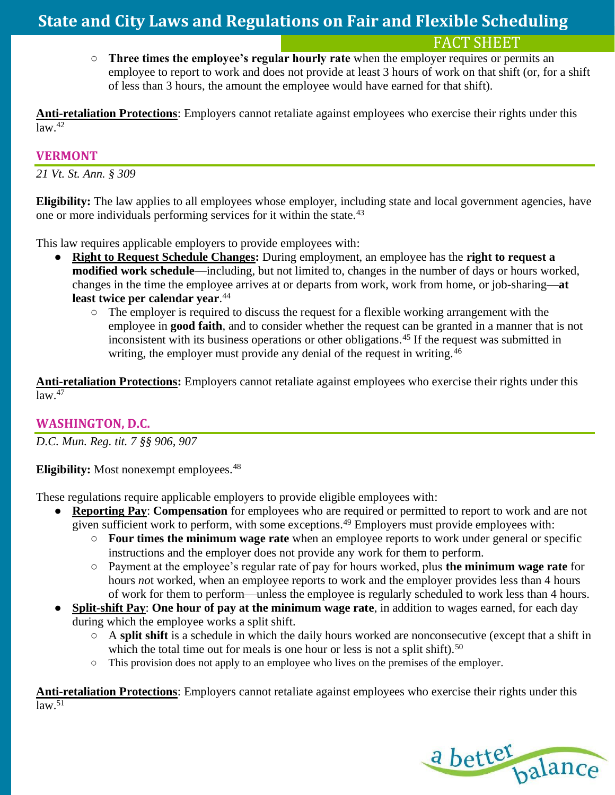○ **Three times the employee's regular hourly rate** when the employer requires or permits an employee to report to work and does not provide at least 3 hours of work on that shift (or, for a shift of less than 3 hours, the amount the employee would have earned for that shift).

**Anti-retaliation Protections**: Employers cannot retaliate against employees who exercise their rights under this  $law.<sup>42</sup>$ 

### **VERMONT**

*21 Vt. St. Ann. § 309*

**Eligibility:** The law applies to all employees whose employer, including state and local government agencies, have one or more individuals performing services for it within the state.<sup>43</sup>

This law requires applicable employers to provide employees with:

- **Right to Request Schedule Changes:** During employment, an employee has the **right to request a modified work schedule**—including, but not limited to, changes in the number of days or hours worked, changes in the time the employee arrives at or departs from work, work from home, or job-sharing—**at least twice per calendar year**. 44
	- The employer is required to discuss the request for a flexible working arrangement with the employee in **good faith**, and to consider whether the request can be granted in a manner that is not inconsistent with its business operations or other obligations.<sup>45</sup> If the request was submitted in writing, the employer must provide any denial of the request in writing.<sup>46</sup>

**Anti-retaliation Protections:** Employers cannot retaliate against employees who exercise their rights under this  $law<sup>47</sup>$ 

### **WASHINGTON, D.C.**

*D.C. Mun. Reg. tit. 7 §§ 906, 907*

**Eligibility:** Most nonexempt employees.<sup>48</sup>

These regulations require applicable employers to provide eligible employees with:

- **Reporting Pay**: **Compensation** for employees who are required or permitted to report to work and are not given sufficient work to perform, with some exceptions.<sup>49</sup> Employers must provide employees with:
	- **Four times the minimum wage rate** when an employee reports to work under general or specific instructions and the employer does not provide any work for them to perform.
	- Payment at the employee's regular rate of pay for hours worked, plus **the minimum wage rate** for hours *no*t worked, when an employee reports to work and the employer provides less than 4 hours of work for them to perform—unless the employee is regularly scheduled to work less than 4 hours.
- **Split-shift Pay: One hour of pay at the minimum wage rate**, in addition to wages earned, for each day during which the employee works a split shift.
	- A **split shift** is a schedule in which the daily hours worked are nonconsecutive (except that a shift in which the total time out for meals is one hour or less is not a split shift).<sup>50</sup>
	- This provision does not apply to an employee who lives on the premises of the employer.

**Anti-retaliation Protections**: Employers cannot retaliate against employees who exercise their rights under this  $law.<sup>51</sup>$ 

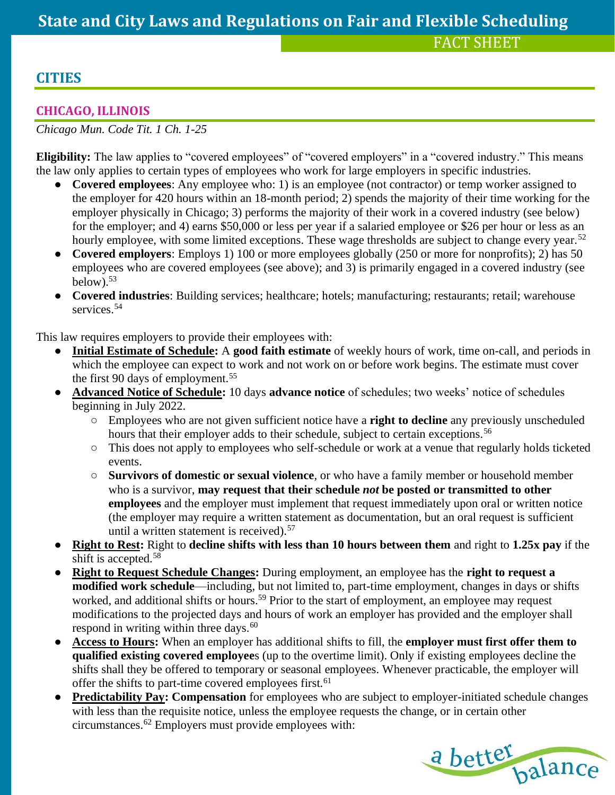### **CITIES**

### **CHICAGO, ILLINOIS**

*Chicago Mun. Code Tit. 1 Ch. 1-25* 

**Eligibility:** The law applies to "covered employees" of "covered employers" in a "covered industry." This means the law only applies to certain types of employees who work for large employers in specific industries.

- **Covered employees**: Any employee who: 1) is an employee (not contractor) or temp worker assigned to the employer for 420 hours within an 18-month period; 2) spends the majority of their time working for the employer physically in Chicago; 3) performs the majority of their work in a covered industry (see below) for the employer; and 4) earns \$50,000 or less per year if a salaried employee or \$26 per hour or less as an hourly employee, with some limited exceptions. These wage thresholds are subject to change every year.<sup>52</sup>
- **Covered employers**: Employs 1) 100 or more employees globally (250 or more for nonprofits); 2) has 50 employees who are covered employees (see above); and 3) is primarily engaged in a covered industry (see below). $53$
- **Covered industries**: Building services; healthcare; hotels; manufacturing; restaurants; retail; warehouse services.<sup>54</sup>

This law requires employers to provide their employees with:

- **Initial Estimate of Schedule:** A good faith estimate of weekly hours of work, time on-call, and periods in which the employee can expect to work and not work on or before work begins. The estimate must cover the first 90 days of employment.<sup>55</sup>
- **Advanced Notice of Schedule:** 10 days **advance notice** of schedules; two weeks' notice of schedules beginning in July 2022.
	- Employees who are not given sufficient notice have a **right to decline** any previously unscheduled hours that their employer adds to their schedule, subject to certain exceptions.<sup>56</sup>
	- This does not apply to employees who self-schedule or work at a venue that regularly holds ticketed events.
	- **Survivors of domestic or sexual violence**, or who have a family member or household member who is a survivor, **may request that their schedule** *not* **be posted or transmitted to other employees** and the employer must implement that request immediately upon oral or written notice (the employer may require a written statement as documentation, but an oral request is sufficient until a written statement is received).  $57$
- **Right to Rest:** Right to **decline shifts with less than 10 hours between them** and right to **1.25x pay** if the shift is accepted.<sup>58</sup>
- **Right to Request Schedule Changes:** During employment, an employee has the **right to request a modified work schedule**—including, but not limited to, part-time employment, changes in days or shifts worked, and additional shifts or hours.<sup>59</sup> Prior to the start of employment, an employee may request modifications to the projected days and hours of work an employer has provided and the employer shall respond in writing within three days.<sup>60</sup>
- **Access to Hours:** When an employer has additional shifts to fill, the **employer must first offer them to qualified existing covered employee**s (up to the overtime limit). Only if existing employees decline the shifts shall they be offered to temporary or seasonal employees. Whenever practicable, the employer will offer the shifts to part-time covered employees first.<sup>61</sup>
- **Predictability Pay: Compensation** for employees who are subject to employer-initiated schedule changes with less than the requisite notice, unless the employee requests the change, or in certain other circumstances.<sup>62</sup> Employers must provide employees with:

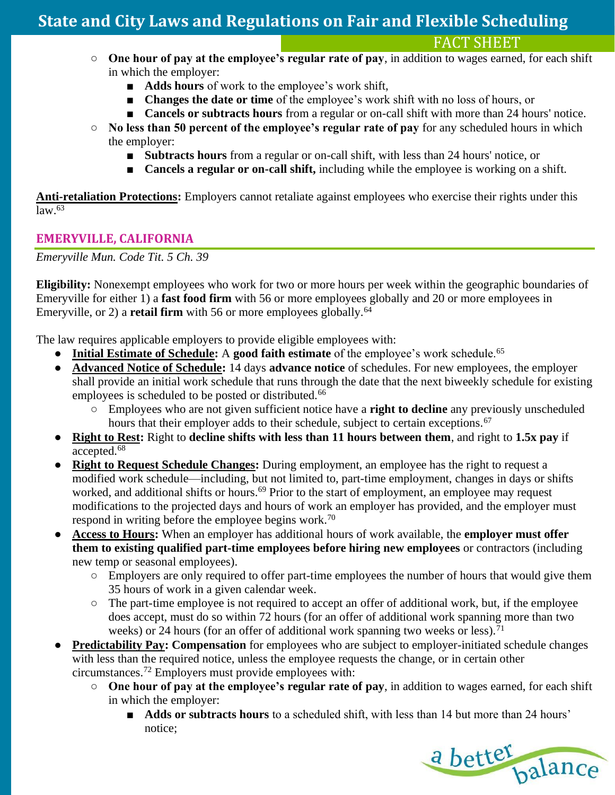FACT SHEET

- **One hour of pay at the employee's regular rate of pay**, in addition to wages earned, for each shift in which the employer:
	- **Adds hours** of work to the employee's work shift,
	- **Changes the date or time** of the employee's work shift with no loss of hours, or
	- **Cancels or subtracts hours** from a regular or on-call shift with more than 24 hours' notice.
- **No less than 50 percent of the employee's regular rate of pay** for any scheduled hours in which the employer:
	- **Subtracts hours** from a regular or on-call shift, with less than 24 hours' notice, or
	- **Cancels a regular or on-call shift,** including while the employee is working on a shift.

**Anti-retaliation Protections:** Employers cannot retaliate against employees who exercise their rights under this  $\sqrt{law.63}$ 

### **EMERYVILLE, CALIFORNIA**

*Emeryville Mun. Code Tit. 5 Ch. 39*

**Eligibility:** Nonexempt employees who work for two or more hours per week within the geographic boundaries of Emeryville for either 1) a **fast food firm** with 56 or more employees globally and 20 or more employees in Emeryville, or 2) a **retail firm** with 56 or more employees globally.<sup>64</sup>

- Initial Estimate of Schedule: A good faith estimate of the employee's work schedule.<sup>65</sup>
- **Advanced Notice of Schedule:** 14 days **advance notice** of schedules. For new employees, the employer shall provide an initial work schedule that runs through the date that the next biweekly schedule for existing employees is scheduled to be posted or distributed.<sup>66</sup>
	- Employees who are not given sufficient notice have a **right to decline** any previously unscheduled hours that their employer adds to their schedule, subject to certain exceptions.<sup>67</sup>
- **Right to Rest:** Right to **decline shifts with less than 11 hours between them**, and right to **1.5x pay** if accepted.<sup>68</sup>
- **Right to Request Schedule Changes:** During employment, an employee has the right to request a modified work schedule—including, but not limited to, part-time employment, changes in days or shifts worked, and additional shifts or hours.<sup>69</sup> Prior to the start of employment, an employee may request modifications to the projected days and hours of work an employer has provided, and the employer must respond in writing before the employee begins work.<sup>70</sup>
- **Access to Hours:** When an employer has additional hours of work available, the **employer must offer them to existing qualified part-time employees before hiring new employees** or contractors (including new temp or seasonal employees).
	- Employers are only required to offer part-time employees the number of hours that would give them 35 hours of work in a given calendar week.
	- The part-time employee is not required to accept an offer of additional work, but, if the employee does accept, must do so within 72 hours (for an offer of additional work spanning more than two weeks) or 24 hours (for an offer of additional work spanning two weeks or less).<sup>71</sup>
- **Predictability Pay: Compensation** for employees who are subject to employer-initiated schedule changes with less than the required notice, unless the employee requests the change, or in certain other circumstances.<sup>72</sup> Employers must provide employees with:
	- **One hour of pay at the employee's regular rate of pay**, in addition to wages earned, for each shift in which the employer:
		- **Adds or subtracts hours** to a scheduled shift, with less than 14 but more than 24 hours' notice;

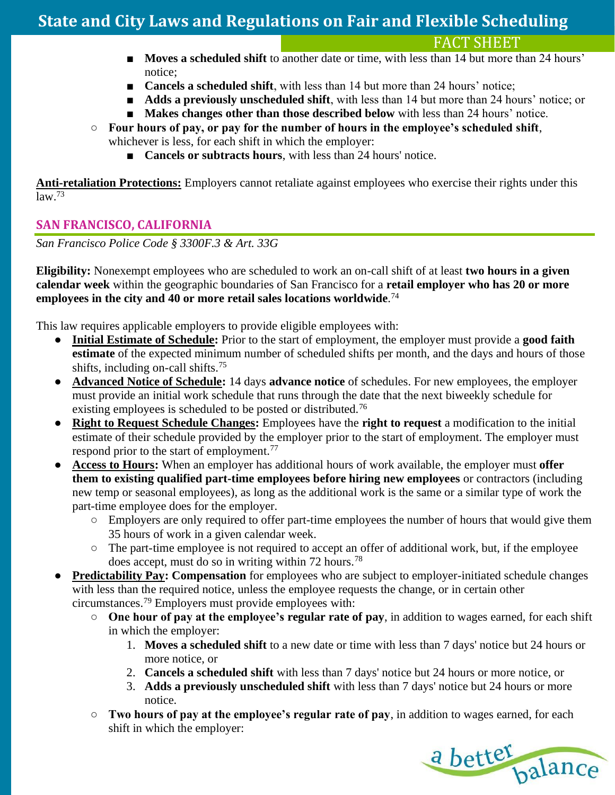FACT SHEET

- **Moves a scheduled shift** to another date or time, with less than 14 but more than 24 hours' notice;
- **Cancels a scheduled shift**, with less than 14 but more than 24 hours' notice;
- **Adds a previously unscheduled shift**, with less than 14 but more than 24 hours' notice; or
- **Makes changes other than those described below** with less than 24 hours' notice.
- **Four hours of pay, or pay for the number of hours in the employee's scheduled shift**, whichever is less, for each shift in which the employer:
	- **Cancels or subtracts hours**, with less than 24 hours' notice.

**Anti-retaliation Protections:** Employers cannot retaliate against employees who exercise their rights under this  $law<sup>73</sup>$ 

### **SAN FRANCISCO, CALIFORNIA**

*San Francisco Police Code § 3300F.3 & Art. 33G*

**Eligibility:** Nonexempt employees who are scheduled to work an on-call shift of at least **two hours in a given calendar week** within the geographic boundaries of San Francisco for a **retail employer who has 20 or more employees in the city and 40 or more retail sales locations worldwide**. 74

- **Initial Estimate of Schedule:** Prior to the start of employment, the employer must provide a **good faith estimate** of the expected minimum number of scheduled shifts per month, and the days and hours of those shifts, including on-call shifts.<sup>75</sup>
- **Advanced Notice of Schedule:** 14 days **advance notice** of schedules. For new employees, the employer must provide an initial work schedule that runs through the date that the next biweekly schedule for existing employees is scheduled to be posted or distributed.<sup>76</sup>
- **Right to Request Schedule Changes:** Employees have the **right to request** a modification to the initial estimate of their schedule provided by the employer prior to the start of employment. The employer must respond prior to the start of employment.<sup>77</sup>
- **Access to Hours:** When an employer has additional hours of work available, the employer must **offer them to existing qualified part-time employees before hiring new employees** or contractors (including new temp or seasonal employees), as long as the additional work is the same or a similar type of work the part-time employee does for the employer.
	- Employers are only required to offer part-time employees the number of hours that would give them 35 hours of work in a given calendar week.
	- The part-time employee is not required to accept an offer of additional work, but, if the employee does accept, must do so in writing within 72 hours.<sup>78</sup>
- **Predictability Pay: Compensation** for employees who are subject to employer-initiated schedule changes with less than the required notice, unless the employee requests the change, or in certain other circumstances.<sup>79</sup> Employers must provide employees with:
	- **One hour of pay at the employee's regular rate of pay**, in addition to wages earned, for each shift in which the employer:
		- 1. **Moves a scheduled shift** to a new date or time with less than 7 days' notice but 24 hours or more notice, or
		- 2. **Cancels a scheduled shift** with less than 7 days' notice but 24 hours or more notice, or
		- 3. **Adds a previously unscheduled shift** with less than 7 days' notice but 24 hours or more notice.
	- **Two hours of pay at the employee's regular rate of pay**, in addition to wages earned, for each shift in which the employer:

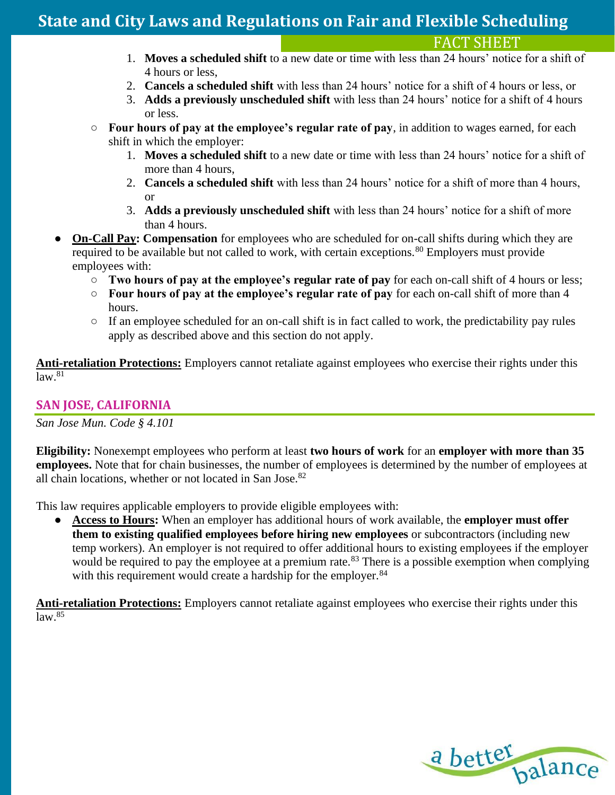### FACT SHEET

- 1. **Moves a scheduled shift** to a new date or time with less than 24 hours' notice for a shift of 4 hours or less,
- 2. **Cancels a scheduled shift** with less than 24 hours' notice for a shift of 4 hours or less, or
- 3. **Adds a previously unscheduled shift** with less than 24 hours' notice for a shift of 4 hours or less.
- **Four hours of pay at the employee's regular rate of pay**, in addition to wages earned, for each shift in which the employer:
	- 1. **Moves a scheduled shift** to a new date or time with less than 24 hours' notice for a shift of more than 4 hours,
	- 2. **Cancels a scheduled shift** with less than 24 hours' notice for a shift of more than 4 hours, or
	- 3. **Adds a previously unscheduled shift** with less than 24 hours' notice for a shift of more than 4 hours.
- **On-Call Pay: Compensation** for employees who are scheduled for on-call shifts during which they are required to be available but not called to work, with certain exceptions.<sup>80</sup> Employers must provide employees with:
	- **Two hours of pay at the employee's regular rate of pay** for each on-call shift of 4 hours or less;
	- **Four hours of pay at the employee's regular rate of pay** for each on-call shift of more than 4 hours.
	- If an employee scheduled for an on-call shift is in fact called to work, the predictability pay rules apply as described above and this section do not apply.

**Anti-retaliation Protections:** Employers cannot retaliate against employees who exercise their rights under this  $law.<sup>81</sup>$ 

### **SAN JOSE, CALIFORNIA**

*San Jose Mun. Code § 4.101* 

**Eligibility:** Nonexempt employees who perform at least **two hours of work** for an **employer with more than 35 employees.** Note that for chain businesses, the number of employees is determined by the number of employees at all chain locations, whether or not located in San Jose.<sup>82</sup>

This law requires applicable employers to provide eligible employees with:

● **Access to Hours:** When an employer has additional hours of work available, the **employer must offer them to existing qualified employees before hiring new employees** or subcontractors (including new temp workers). An employer is not required to offer additional hours to existing employees if the employer would be required to pay the employee at a premium rate.<sup>83</sup> There is a possible exemption when complying with this requirement would create a hardship for the employer.<sup>84</sup>

**Anti-retaliation Protections:** Employers cannot retaliate against employees who exercise their rights under this  $law.<sup>85</sup>$ 

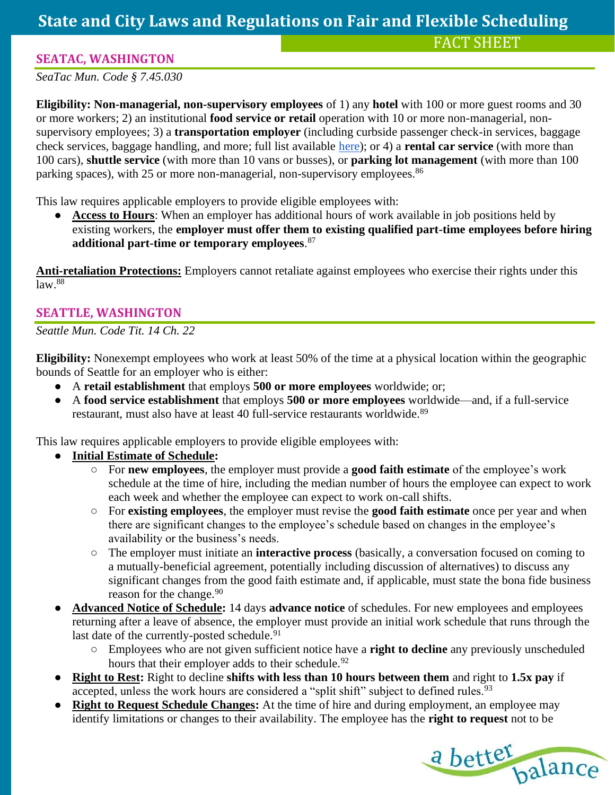### **SEATAC, WASHINGTON**

*SeaTac Mun. Code § 7.45.030*

**Eligibility: Non-managerial, non-supervisory employees** of 1) any **hotel** with 100 or more guest rooms and 30 or more workers; 2) an institutional **food service or retail** operation with 10 or more non-managerial, nonsupervisory employees; 3) a **transportation employer** (including curbside passenger check-in services, baggage check services, baggage handling, and more; full list available [here\)](https://www.codepublishing.com/WA/SeaTac/html/SeaTac07/SeaTac0745.html#:~:text=010%20Definitions.-,7.45.,030%20Promoting%20full%2Dtime%20employment.); or 4) a **rental car service** (with more than 100 cars), **shuttle service** (with more than 10 vans or busses), or **parking lot management** (with more than 100 parking spaces), with 25 or more non-managerial, non-supervisory employees.<sup>86</sup>

This law requires applicable employers to provide eligible employees with:

Access to Hours: When an employer has additional hours of work available in job positions held by existing workers, the **employer must offer them to existing qualified part-time employees before hiring additional part-time or temporary employees**. 87

**Anti-retaliation Protections:** Employers cannot retaliate against employees who exercise their rights under this  $\sqrt{a^2 + 88}$ 

### **SEATTLE, WASHINGTON**

*Seattle Mun. Code Tit. 14 Ch. 22*

**Eligibility:** Nonexempt employees who work at least 50% of the time at a physical location within the geographic bounds of Seattle for an employer who is either:

- A **retail establishment** that employs **500 or more employees** worldwide; or;
- A **food service establishment** that employs **500 or more employees** worldwide—and, if a full-service restaurant, must also have at least 40 full-service restaurants worldwide.<sup>89</sup>

- **Initial Estimate of Schedule:** 
	- For **new employees**, the employer must provide a **good faith estimate** of the employee's work schedule at the time of hire, including the median number of hours the employee can expect to work each week and whether the employee can expect to work on-call shifts.
	- For **existing employees**, the employer must revise the **good faith estimate** once per year and when there are significant changes to the employee's schedule based on changes in the employee's availability or the business's needs.
	- The employer must initiate an **interactive process** (basically, a conversation focused on coming to a mutually-beneficial agreement, potentially including discussion of alternatives) to discuss any significant changes from the good faith estimate and, if applicable, must state the bona fide business reason for the change.<sup>90</sup>
- **Advanced Notice of Schedule:** 14 days **advance notice** of schedules. For new employees and employees returning after a leave of absence, the employer must provide an initial work schedule that runs through the last date of the currently-posted schedule.<sup>91</sup>
	- Employees who are not given sufficient notice have a **right to decline** any previously unscheduled hours that their employer adds to their schedule.<sup>92</sup>
- **Right to Rest:** Right to decline **shifts with less than 10 hours between them** and right to **1.5x pay** if accepted, unless the work hours are considered a "split shift" subject to defined rules.<sup>93</sup>
- **Right to Request Schedule Changes:** At the time of hire and during employment, an employee may identify limitations or changes to their availability. The employee has the **right to request** not to be

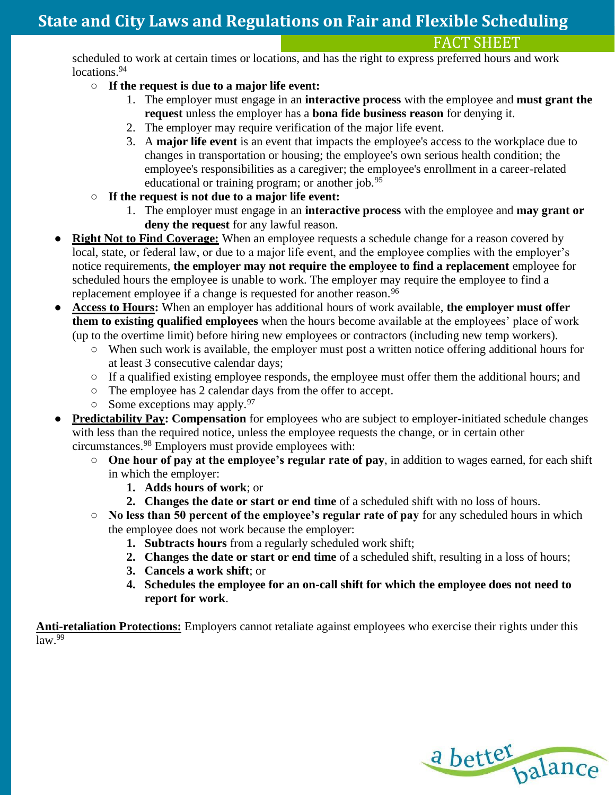### FACT SHEET

scheduled to work at certain times or locations, and has the right to express preferred hours and work locations.<sup>94</sup>

### ○ **If the request is due to a major life event:**

- 1. The employer must engage in an **interactive process** with the employee and **must grant the request** unless the employer has a **bona fide business reason** for denying it.
- 2. The employer may require verification of the major life event.
- 3. A **major life event** is an event that impacts the employee's access to the workplace due to changes in transportation or housing; the employee's own serious health condition; the employee's responsibilities as a caregiver; the employee's enrollment in a career-related educational or training program; or another job.<sup>95</sup>
- **If the request is not due to a major life event:**
	- 1. The employer must engage in an **interactive process** with the employee and **may grant or deny the request** for any lawful reason.
- **Right Not to Find Coverage:** When an employee requests a schedule change for a reason covered by local, state, or federal law, or due to a major life event, and the employee complies with the employer's notice requirements, **the employer may not require the employee to find a replacement** employee for scheduled hours the employee is unable to work. The employer may require the employee to find a replacement employee if a change is requested for another reason.<sup>96</sup>
- **Access to Hours:** When an employer has additional hours of work available, **the employer must offer them to existing qualified employees** when the hours become available at the employees' place of work (up to the overtime limit) before hiring new employees or contractors (including new temp workers).
	- When such work is available, the employer must post a written notice offering additional hours for at least 3 consecutive calendar days;
	- If a qualified existing employee responds, the employee must offer them the additional hours; and
	- The employee has 2 calendar days from the offer to accept.
	- $\circ$  Some exceptions may apply. <sup>97</sup>
- **Predictability Pay: Compensation** for employees who are subject to employer-initiated schedule changes with less than the required notice, unless the employee requests the change, or in certain other circumstances.<sup>98</sup> Employers must provide employees with:
	- **One hour of pay at the employee's regular rate of pay**, in addition to wages earned, for each shift in which the employer:
		- **1. Adds hours of work**; or
		- **2. Changes the date or start or end time** of a scheduled shift with no loss of hours.
	- **No less than 50 percent of the employee's regular rate of pay** for any scheduled hours in which the employee does not work because the employer:
		- **1. Subtracts hours** from a regularly scheduled work shift;
		- **2. Changes the date or start or end time** of a scheduled shift, resulting in a loss of hours;
		- **3. Cancels a work shift**; or
		- **4. Schedules the employee for an on-call shift for which the employee does not need to report for work**.

**Anti-retaliation Protections:** Employers cannot retaliate against employees who exercise their rights under this  $law.<sup>99</sup>$ 

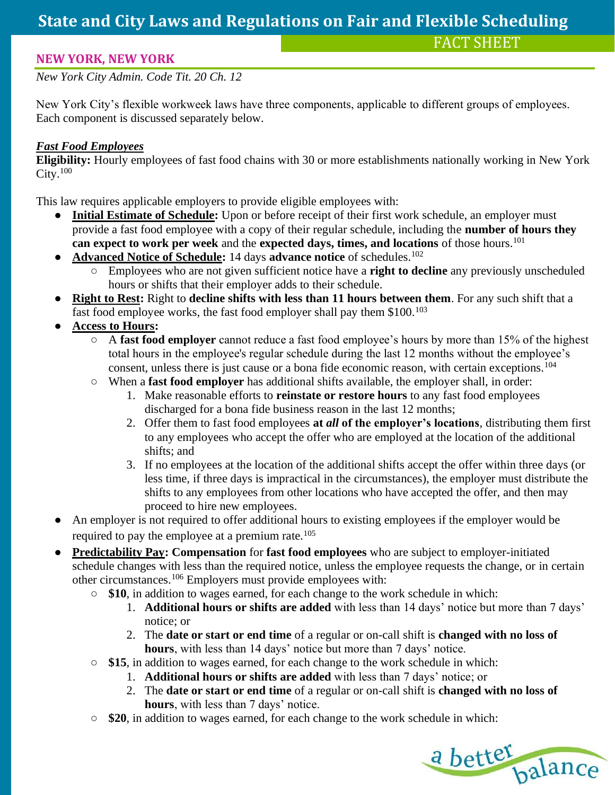### **NEW YORK, NEW YORK**

*New York City Admin. Code Tit. 20 Ch. 12*

New York City's flexible workweek laws have three components, applicable to different groups of employees. Each component is discussed separately below.

### *Fast Food Employees*

**Eligibility:** Hourly employees of fast food chains with 30 or more establishments nationally working in New York  $City.<sup>100</sup>$ 

- **Initial Estimate of Schedule:** Upon or before receipt of their first work schedule, an employer must provide a fast food employee with a copy of their regular schedule, including the **number of hours they can expect to work per week** and the **expected days, times, and locations** of those hours.<sup>101</sup>
- **Advanced Notice of Schedule:** 14 days **advance notice** of schedules.<sup>102</sup>
	- Employees who are not given sufficient notice have a **right to decline** any previously unscheduled hours or shifts that their employer adds to their schedule.
- **Right to Rest:** Right to **decline shifts with less than 11 hours between them**. For any such shift that a fast food employee works, the fast food employer shall pay them \$100.<sup>103</sup>
- **Access to Hours:** 
	- A **fast food employer** cannot reduce a fast food employee's hours by more than 15% of the highest total hours in the employee's regular schedule during the last 12 months without the employee's consent, unless there is just cause or a bona fide economic reason, with certain exceptions.<sup>104</sup>
	- When a **fast food employer** has additional shifts available, the employer shall, in order:
		- 1. Make reasonable efforts to **reinstate or restore hours** to any fast food employees discharged for a bona fide business reason in the last 12 months;
		- 2. Offer them to fast food employees **at** *all* **of the employer's locations**, distributing them first to any employees who accept the offer who are employed at the location of the additional shifts; and
		- 3. If no employees at the location of the additional shifts accept the offer within three days (or less time, if three days is impractical in the circumstances), the employer must distribute the shifts to any employees from other locations who have accepted the offer, and then may proceed to hire new employees.
- An employer is not required to offer additional hours to existing employees if the employer would be required to pay the employee at a premium rate.<sup>105</sup>
- **Predictability Pay: Compensation** for **fast food employees** who are subject to employer-initiated schedule changes with less than the required notice, unless the employee requests the change, or in certain other circumstances.<sup>106</sup> Employers must provide employees with:
	- **\$10**, in addition to wages earned, for each change to the work schedule in which:
		- 1. **Additional hours or shifts are added** with less than 14 days' notice but more than 7 days' notice; or
		- 2. The **date or start or end time** of a regular or on-call shift is **changed with no loss of hours**, with less than 14 days' notice but more than 7 days' notice.
	- **\$15**, in addition to wages earned, for each change to the work schedule in which:
		- 1. **Additional hours or shifts are added** with less than 7 days' notice; or
		- 2. The **date or start or end time** of a regular or on-call shift is **changed with no loss of hours**, with less than 7 days' notice.
	- **\$20**, in addition to wages earned, for each change to the work schedule in which:

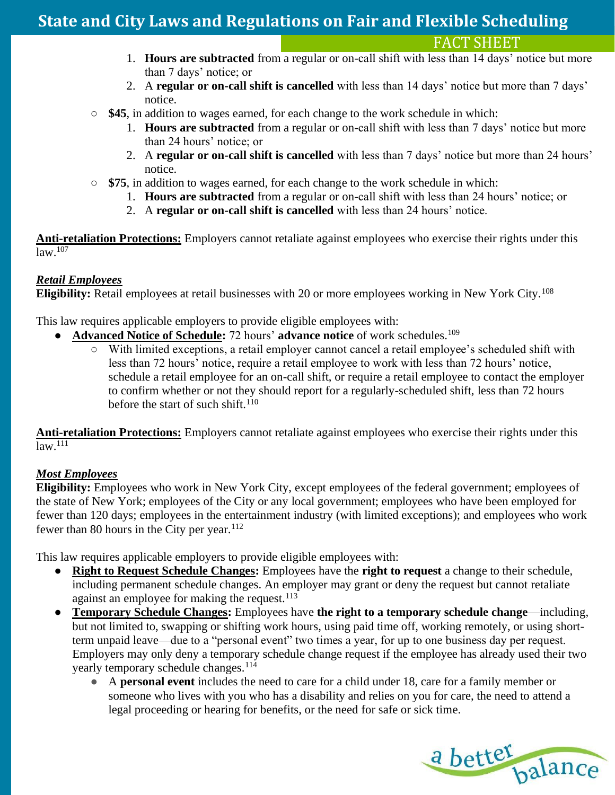FACT SHEET

- 1. **Hours are subtracted** from a regular or on-call shift with less than 14 days' notice but more than 7 days' notice; or
- 2. A **regular or on-call shift is cancelled** with less than 14 days' notice but more than 7 days' notice.
- **\$45**, in addition to wages earned, for each change to the work schedule in which:
	- 1. **Hours are subtracted** from a regular or on-call shift with less than 7 days' notice but more than 24 hours' notice; or
	- 2. A **regular or on-call shift is cancelled** with less than 7 days' notice but more than 24 hours' notice.
- **\$75**, in addition to wages earned, for each change to the work schedule in which:
	- 1. **Hours are subtracted** from a regular or on-call shift with less than 24 hours' notice; or
	- 2. A **regular or on-call shift is cancelled** with less than 24 hours' notice.

**Anti-retaliation Protections:** Employers cannot retaliate against employees who exercise their rights under this  $\sqrt{\text{law} \cdot 107}$ 

#### *Retail Employees*

**Eligibility:** Retail employees at retail businesses with 20 or more employees working in New York City.<sup>108</sup>

This law requires applicable employers to provide eligible employees with:

- Advanced Notice of Schedule: 72 hours' advance notice of work schedules.<sup>109</sup>
	- With limited exceptions, a retail employer cannot cancel a retail employee's scheduled shift with less than 72 hours' notice, require a retail employee to work with less than 72 hours' notice, schedule a retail employee for an on-call shift, or require a retail employee to contact the employer to confirm whether or not they should report for a regularly-scheduled shift, less than 72 hours before the start of such shift.<sup>110</sup>

**Anti-retaliation Protections:** Employers cannot retaliate against employees who exercise their rights under this  $law.<sup>111</sup>$ 

#### *Most Employees*

**Eligibility:** Employees who work in New York City, except employees of the federal government; employees of the state of New York; employees of the City or any local government; employees who have been employed for fewer than 120 days; employees in the entertainment industry (with limited exceptions); and employees who work fewer than 80 hours in the City per year. $112$ 

- **Right to Request Schedule Changes:** Employees have the **right to request** a change to their schedule, including permanent schedule changes. An employer may grant or deny the request but cannot retaliate against an employee for making the request.  $113$
- **Temporary Schedule Changes:** Employees have **the right to a temporary schedule change**—including, but not limited to, swapping or shifting work hours, using paid time off, working remotely, or using shortterm unpaid leave—due to a "personal event" two times a year, for up to one business day per request. Employers may only deny a temporary schedule change request if the employee has already used their two yearly temporary schedule changes.<sup>114</sup>
	- A **personal event** includes the need to care for a child under 18, care for a family member or someone who lives with you who has a disability and relies on you for care, the need to attend a legal proceeding or hearing for benefits, or the need for safe or sick time.

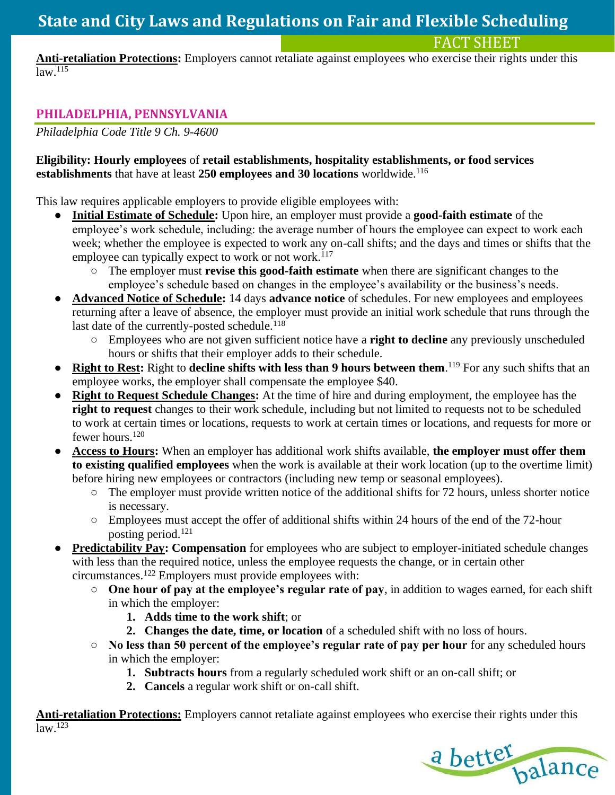FACT SHEET

**Anti-retaliation Protections:** Employers cannot retaliate against employees who exercise their rights under this  $law.<sup>115</sup>$ 

### **PHILADELPHIA, PENNSYLVANIA**

*Philadelphia Code Title 9 Ch. 9-4600*

#### **Eligibility: Hourly employees** of **retail establishments, hospitality establishments, or food services establishments** that have at least **250 employees and 30 locations** worldwide.<sup>116</sup>

This law requires applicable employers to provide eligible employees with:

- **Initial Estimate of Schedule:** Upon hire, an employer must provide a **good-faith estimate** of the employee's work schedule, including: the average number of hours the employee can expect to work each week; whether the employee is expected to work any on-call shifts; and the days and times or shifts that the employee can typically expect to work or not work.<sup>117</sup>
	- The employer must **revise this good-faith estimate** when there are significant changes to the employee's schedule based on changes in the employee's availability or the business's needs.
- **Advanced Notice of Schedule:** 14 days **advance notice** of schedules. For new employees and employees returning after a leave of absence, the employer must provide an initial work schedule that runs through the last date of the currently-posted schedule.<sup>118</sup>
	- Employees who are not given sufficient notice have a **right to decline** any previously unscheduled hours or shifts that their employer adds to their schedule.
- **Right to Rest:** Right to **decline shifts with less than 9 hours between them**. <sup>119</sup> For any such shifts that an employee works, the employer shall compensate the employee \$40.
- **Right to Request Schedule Changes:** At the time of hire and during employment, the employee has the **right to request** changes to their work schedule, including but not limited to requests not to be scheduled to work at certain times or locations, requests to work at certain times or locations, and requests for more or fewer hours.<sup>120</sup>
- **Access to Hours:** When an employer has additional work shifts available, **the employer must offer them to existing qualified employees** when the work is available at their work location (up to the overtime limit) before hiring new employees or contractors (including new temp or seasonal employees).
	- The employer must provide written notice of the additional shifts for 72 hours, unless shorter notice is necessary.
	- Employees must accept the offer of additional shifts within 24 hours of the end of the 72-hour posting period.<sup>121</sup>
- **Predictability Pay: Compensation** for employees who are subject to employer-initiated schedule changes with less than the required notice, unless the employee requests the change, or in certain other circumstances.<sup>122</sup> Employers must provide employees with:
	- **One hour of pay at the employee's regular rate of pay**, in addition to wages earned, for each shift in which the employer:
		- **1. Adds time to the work shift**; or
		- **2. Changes the date, time, or location** of a scheduled shift with no loss of hours.
	- **No less than 50 percent of the employee's regular rate of pay per hour** for any scheduled hours in which the employer:
		- **1. Subtracts hours** from a regularly scheduled work shift or an on-call shift; or
		- **2. Cancels** a regular work shift or on-call shift.

**Anti-retaliation Protections:** Employers cannot retaliate against employees who exercise their rights under this  $law<sup>.123</sup>$ 

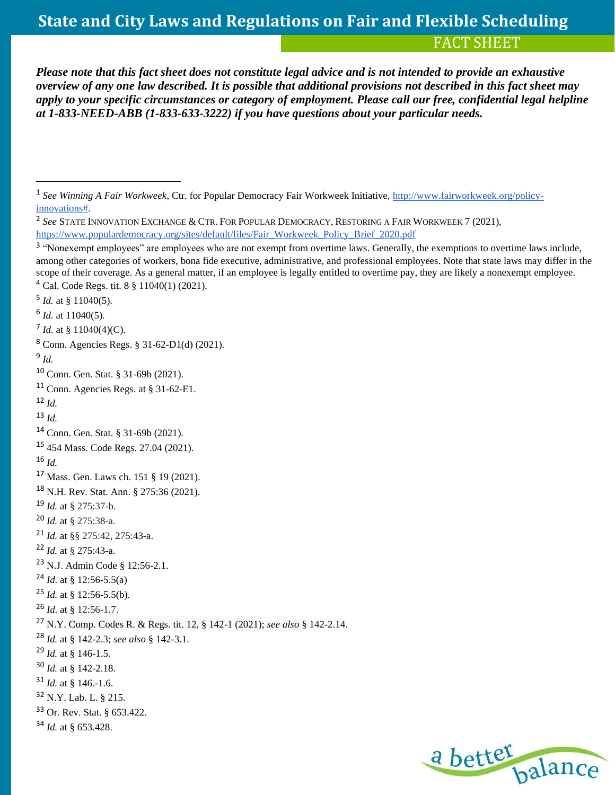*Please note that this fact sheet does not constitute legal advice and is not intended to provide an exhaustive overview of any one law described. It is possible that additional provisions not described in this fact sheet may apply to your specific circumstances or category of employment. Please call our free, confidential legal helpline at 1-833-NEED-ABB (1-833-633-3222) if you have questions about your particular needs.*

 $^7$  *Id.* at § 11040(4)(C).

```
8 Conn. Agencies Regs. § 31-62-D1(d) (2021).
```

```
9
Id.
```
Conn. Agencies Regs*.* at § 31-62-E1.

```
17 Mass. Gen. Laws ch. 151 § 19 (2021).
```

```
18 N.H. Rev. Stat. Ann. § 275:36 (2021).
```

```
19 Id. at § 275:37-b.
```

```
20 Id. at § 275:38-a.
```

```
21 Id. at §§ 275:42, 275:43-a.
```

```
22 Id. at § 275:43-a.
```

```
23 N.J. Admin Code § 12:56-2.1.
```

```
24 Id. at § 12:56-5.5(a)
```

```
25 Id. at § 12:56-5.5(b).
```

```
26 Id. at § 12:56-1.7.
```

```
27 N.Y. Comp. Codes R. & Regs. tit. 12, § 142-1 (2021); see also § 142-2.14.
```
- *Id.* at § 142-2.18.
- *Id.* at § 146.-1.6.
- N.Y. Lab. L. § 215.

Or. Rev. Stat. § 653.422.

```
34 Id. at § 653.428.
```


<sup>&</sup>lt;sup>1</sup> See Winning A Fair Workweek, Ctr. for Popular Democracy Fair Workweek Initiative, [http://www.fairworkweek.org/policy](http://www.fairworkweek.org/policy-innovations)[innovations#.](http://www.fairworkweek.org/policy-innovations)

 *See* STATE INNOVATION EXCHANGE & CTR.FOR POPULAR DEMOCRACY, RESTORING A FAIR WORKWEEK 7 (2021), [https://www.populardemocracy.org/sites/default/files/Fair\\_Workweek\\_Policy\\_Brief\\_2020.pdf](https://www.populardemocracy.org/sites/default/files/Fair_Workweek_Policy_Brief_2020.pdf)

<sup>&</sup>lt;sup>3</sup> "Nonexempt employees" are employees who are not exempt from overtime laws. Generally, the exemptions to overtime laws include, among other categories of workers, bona fide executive, administrative, and professional employees. Note that state laws may differ in the scope of their coverage. As a general matter, if an employee is legally entitled to overtime pay, they are likely a nonexempt employee. Cal. Code Regs. tit. 8 § 11040(1) (2021).

*Id.* at § 11040(5).

*Id.* at 11040(5).

Conn. Gen. Stat. § 31-69b (2021).

 $12 \, \text{Id}$ 

*Id.*

Conn. Gen. Stat. § 31-69b (2021).

454 Mass. Code Regs. 27.04 (2021).

*Id.* 

*Id.* at § 142-2.3; *see also* § 142-3.1.

*Id.* at § 146-1.5.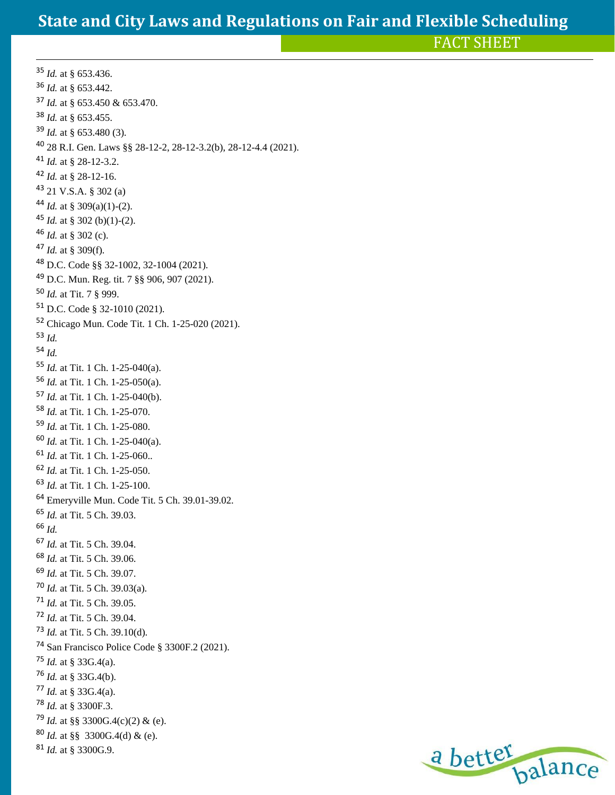FACT SHEET

 *Id.* at § 653.436. *Id.* at § 653.442. *Id.* at § 653.450 & 653.470. *Id.* at § 653.455. *Id.* at § 653.480 (3). 28 R.I. Gen. Laws §§ 28-12-2, 28-12-3.2(b), 28-12-4.4 (2021). *Id.* at § 28-12-3.2. *Id.* at § 28-12-16. 21 V.S.A. § 302 (a) *Id.* at § 309(a)(1)-(2). <sup>45</sup> *Id.* at § 302 (b)(1)-(2). *Id.* at § 302 (c). *Id.* at § 309(f). D.C. Code §§ 32-1002, 32-1004 (2021). D.C. Mun. Reg. tit. 7 §§ 906, 907 (2021). *Id.* at Tit. 7 § 999. D.C. Code § 32-1010 (2021). Chicago Mun. Code Tit. 1 Ch. 1-25-020 (2021). *Id. Id. Id.* at Tit. 1 Ch. 1-25-040(a). *Id.* at Tit. 1 Ch. 1-25-050(a). *Id.* at Tit. 1 Ch. 1-25-040(b). *Id.* at Tit. 1 Ch. 1-25-070. *Id.* at Tit. 1 Ch. 1-25-080. *Id.* at Tit. 1 Ch. 1-25-040(a). *Id.* at Tit. 1 Ch. 1-25-060.. *Id.* at Tit. 1 Ch. 1-25-050. *Id.* at Tit. 1 Ch. 1-25-100. Emeryville Mun. Code Tit. 5 Ch. 39.01-39.02. *Id.* at Tit. 5 Ch. 39.03. *Id. Id.* at Tit. 5 Ch. 39.04. *Id.* at Tit. 5 Ch. 39.06. *Id.* at Tit. 5 Ch. 39.07. *Id.* at Tit. 5 Ch. 39.03(a). *Id.* at Tit. 5 Ch. 39.05. *Id.* at Tit. 5 Ch. 39.04. *Id.* at Tit. 5 Ch. 39.10(d). San Francisco Police Code § 3300F.2 (2021).  $^{75}$  *Id.* at § 33G.4(a). *Id.* at § 33G.4(b). *Id.* at § 33G.4(a). *Id.* at § 3300F.3. <sup>79</sup> *Id.* at §§ 3300G.4(c)(2) & (e). *Id.* at §§ 3300G.4(d) & (e). *Id.* at § 3300G.9.